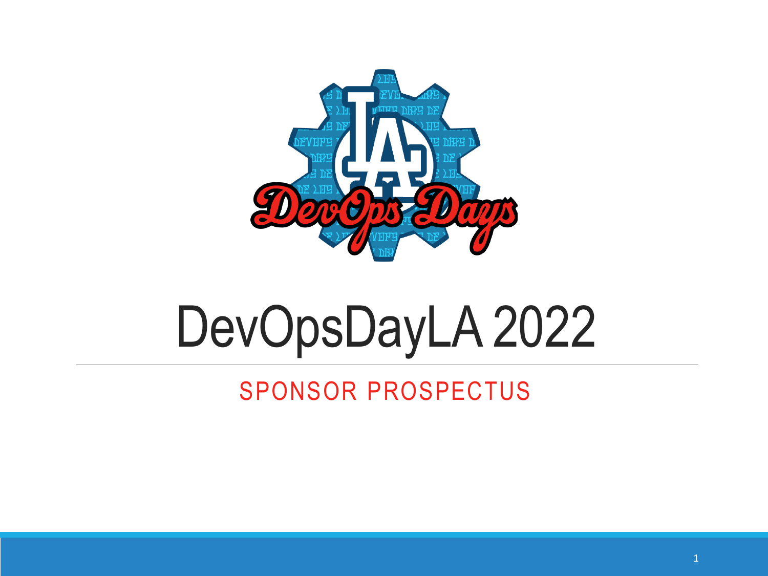

# DevOpsDayLA 2022

## SPONSOR PROSPECTUS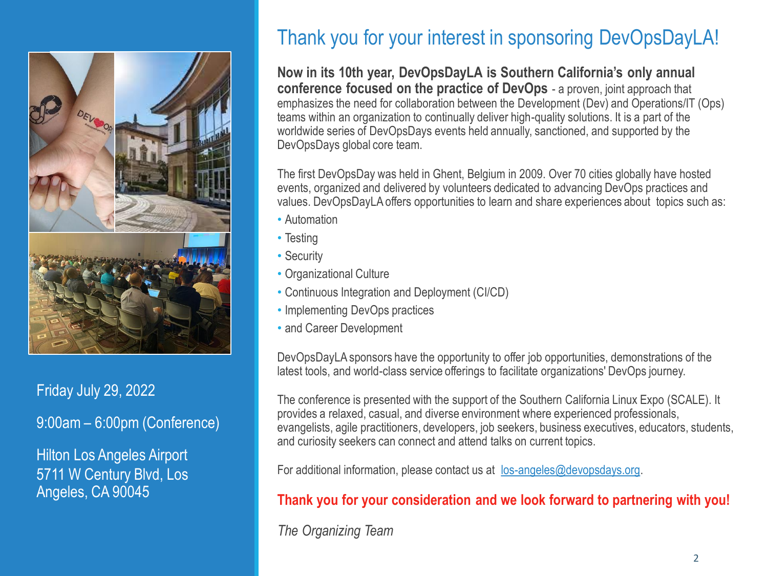

Friday July 29, 2022

9:00am – 6:00pm (Conference)

Hilton Los Angeles Airport 5711 W Century Blvd, Los Angeles, CA 90045

### Thank you for your interest in sponsoring DevOpsDayLA!

**Now in its 10th year, DevOpsDayLA is Southern California's only annual conference focused on the practice of DevOps** - a proven, joint approach that emphasizes the need for collaboration between the Development (Dev) and Operations/IT (Ops) teams within an organization to continually deliver high-quality solutions. It is a part of the worldwide series of DevOpsDays events held annually, sanctioned, and supported by the DevOpsDays global core team.

The first DevOpsDay was held in Ghent, Belgium in 2009. Over 70 cities globally have hosted events, organized and delivered by volunteers dedicated to advancing DevOps practices and values. DevOpsDayLA offers opportunities to learn and share experiences about topics such as:

- Automation
- Testing
- Security
- Organizational Culture
- Continuous Integration and Deployment (CI/CD)
- Implementing DevOps practices
- and Career Development

DevOpsDayLA sponsors have the opportunity to offer job opportunities, demonstrations of the latest tools, and world-class service offerings to facilitate organizations' DevOps journey.

The conference is presented with the support of the Southern California Linux Expo (SCALE). It provides a relaxed, casual, and diverse environment where experienced professionals, evangelists, agile practitioners, developers, job seekers, business executives, educators, students, and curiosity seekers can connect and attend talks on current topics.

For additional information, please contact us at [los-angeles@devopsdays.org](mailto:los-angeles@devopsdays.org).

### **Thank you for your consideration and we look forward to partnering with you!**

*The Organizing Team*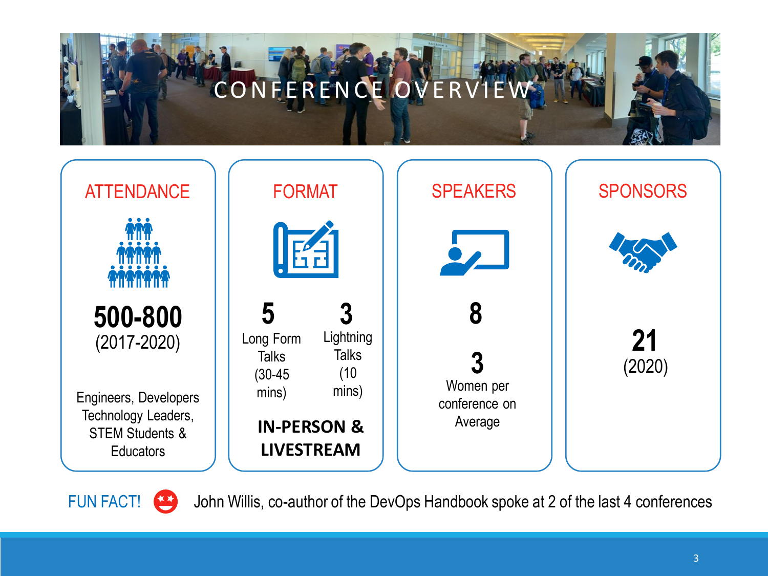



FUN FACT! (3) John Willis, co-author of the DevOps Handbook spoke at 2 of the last 4 conferences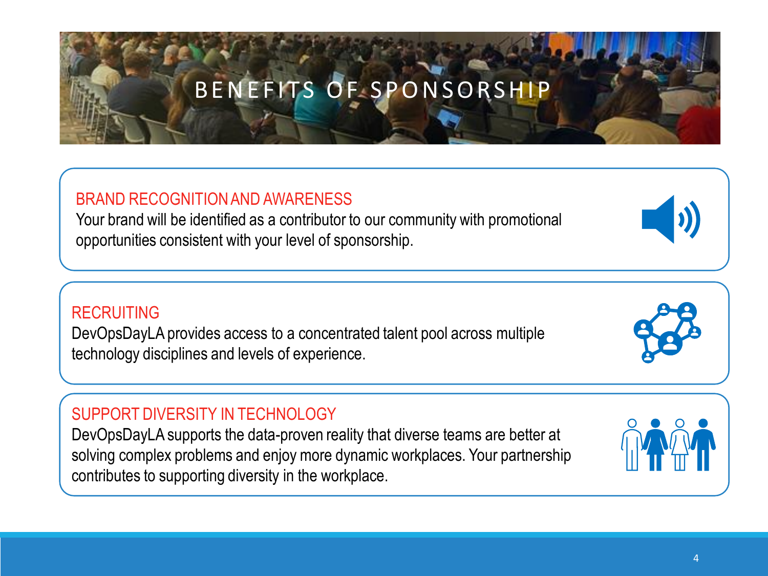# BENEFITS OF SPONSORSHIP

### BRAND RECOGNITION AND AWARENESS

Your brand will be identified as a contributor to our community with promotional opportunities consistent with your level of sponsorship.

### RECRUITING

DevOpsDayLA provides access to a concentrated talent pool across multiple technology disciplines and levels of experience.

### SUPPORT DIVERSITY IN TECHNOLOGY

DevOpsDayLA supports the data-proven reality that diverse teams are better at solving complex problems and enjoy more dynamic workplaces. Your partnership contributes to supporting diversity in the workplace.







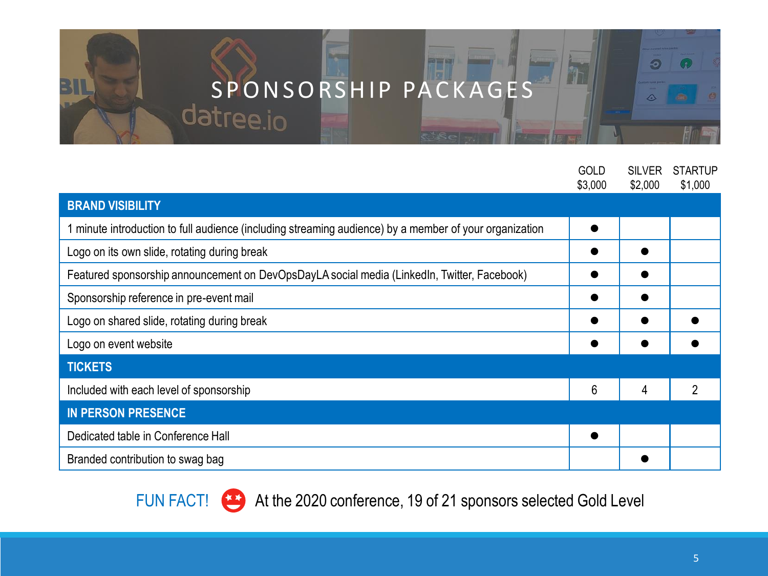# S PONSORSHIP PACKAGES

四百四

m

**By CO** 

31

|                                                                                                        | <b>GOLD</b><br>\$3,000 | <b>SILVER</b><br>\$2,000 | <b>STARTUP</b><br>\$1,000 |
|--------------------------------------------------------------------------------------------------------|------------------------|--------------------------|---------------------------|
| <b>BRAND VISIBILITY</b>                                                                                |                        |                          |                           |
| 1 minute introduction to full audience (including streaming audience) by a member of your organization |                        |                          |                           |
| Logo on its own slide, rotating during break                                                           |                        |                          |                           |
| Featured sponsorship announcement on DevOpsDayLA social media (LinkedIn, Twitter, Facebook)            |                        |                          |                           |
| Sponsorship reference in pre-event mail                                                                |                        |                          |                           |
| Logo on shared slide, rotating during break                                                            |                        |                          |                           |
| Logo on event website                                                                                  |                        |                          |                           |
| <b>TICKETS</b>                                                                                         |                        |                          |                           |
| Included with each level of sponsorship                                                                | 6                      | 4                        |                           |
| <b>IN PERSON PRESENCE</b>                                                                              |                        |                          |                           |
| Dedicated table in Conference Hall                                                                     | ●                      |                          |                           |
| Branded contribution to swag bag                                                                       |                        |                          |                           |

At the 2020 conference, 19 of 21 sponsors selected Gold Level FUN FACT!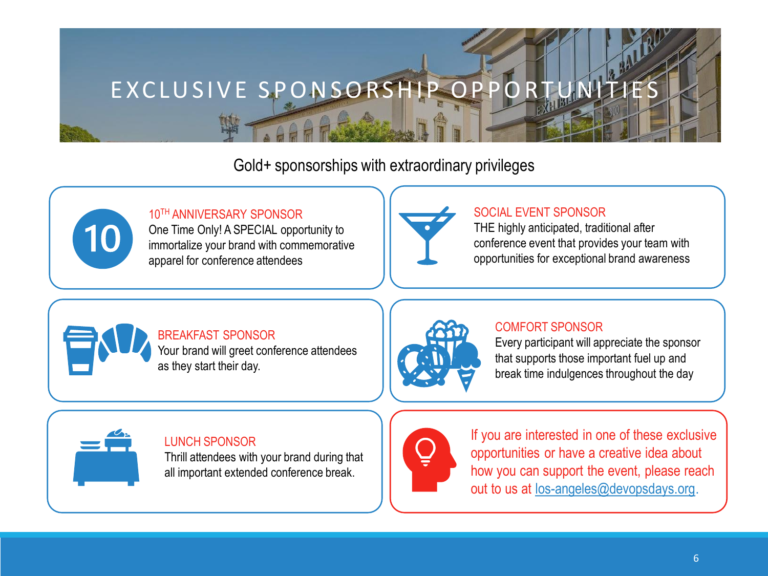

Gold+ sponsorships with extraordinary privileges



### 10TH ANNIVERSARY SPONSOR

One Time Only! A SPECIAL opportunity to immortalize your brand with commemorative apparel for conference attendees



### SOCIAL EVENT SPONSOR

THE highly anticipated, traditional after conference event that provides your team with opportunities for exceptional brand awareness

#### BREAKFAST SPONSOR Your brand will greet conference attendees as they start their day.



#### COMFORT SPONSOR

Every participant will appreciate the sponsor that supports those important fuel up and break time indulgences throughout the day



### LUNCH SPONSOR

Thrill attendees with your brand during that all important extended conference break.



If you are interested in one of these exclusive opportunities or have a creative idea about how you can support the event, please reach out to us at [los-angeles@devopsdays.org](mailto:los-angeles@devopsdays.org).